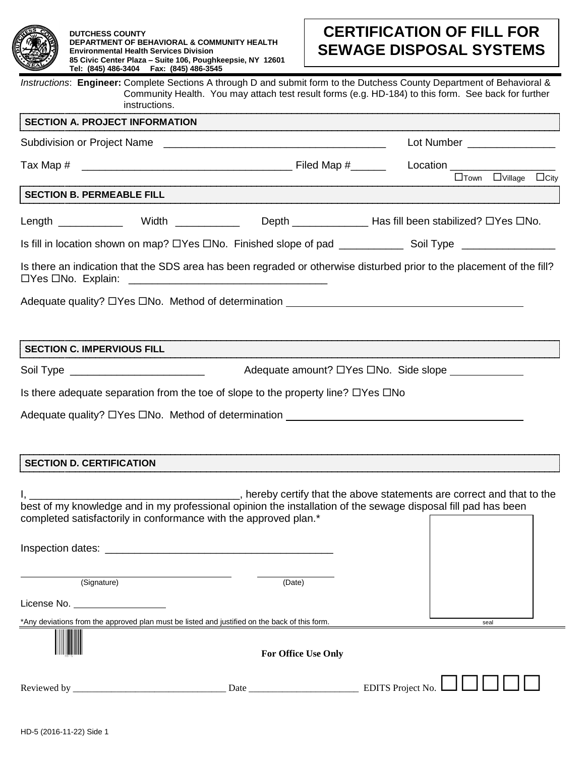

# **CERTIFICATION OF FILL FOR SEWAGE DISPOSAL SYSTEMS**

*Instructions*: **Engineer:** Complete Sections A through D and submit form to the Dutchess County Department of Behavioral & Community Health. You may attach test result forms (e.g. HD-184) to this form. See back for further instructions.

| <b>SECTION A. PROJECT INFORMATION</b>                                                                                                                                             |                            |                                                                        |  |
|-----------------------------------------------------------------------------------------------------------------------------------------------------------------------------------|----------------------------|------------------------------------------------------------------------|--|
|                                                                                                                                                                                   |                            | Lot Number ________________                                            |  |
|                                                                                                                                                                                   |                            |                                                                        |  |
| TION P DEDNEADLE FILL                                                                                                                                                             |                            | $\Box$ Town $\Box$ Village $\Box$ City                                 |  |
| SECTION B. PERMEABLE FILL SECTION B. PERMEABLE FILL                                                                                                                               |                            |                                                                        |  |
| Length ______________ Width ______________ Depth _____________________Has fill been stabilized? OYes ONo.                                                                         |                            |                                                                        |  |
| Is fill in location shown on map? DYes DNo. Finished slope of pad _______________ Soil Type _________________                                                                     |                            |                                                                        |  |
| Is there an indication that the SDS area has been regraded or otherwise disturbed prior to the placement of the fill?<br>□Yes □No. Explain:                                       |                            |                                                                        |  |
| Adequate quality? $\Box$ Yes $\Box$ No. Method of determination                                                                                                                   |                            |                                                                        |  |
|                                                                                                                                                                                   |                            |                                                                        |  |
| <b>SECTION C. IMPERVIOUS FILL</b>                                                                                                                                                 |                            |                                                                        |  |
|                                                                                                                                                                                   |                            |                                                                        |  |
| Is there adequate separation from the toe of slope to the property line? $\Box$ Yes $\Box$ No                                                                                     |                            |                                                                        |  |
| Adequate quality? $\Box$ Yes $\Box$ No. Method of determination _____________________                                                                                             |                            |                                                                        |  |
|                                                                                                                                                                                   |                            |                                                                        |  |
|                                                                                                                                                                                   |                            |                                                                        |  |
| <b>SECTION D. CERTIFICATION</b>                                                                                                                                                   |                            |                                                                        |  |
| best of my knowledge and in my professional opinion the installation of the sewage disposal fill pad has been<br>completed satisfactorily in conformance with the approved plan.* |                            | , hereby certify that the above statements are correct and that to the |  |
| Inspection dates:                                                                                                                                                                 |                            |                                                                        |  |
| (Signature)                                                                                                                                                                       | (Date)                     |                                                                        |  |
| License No.                                                                                                                                                                       |                            |                                                                        |  |
| *Any deviations from the approved plan must be listed and justified on the back of this form.                                                                                     |                            | seal                                                                   |  |
|                                                                                                                                                                                   | <b>For Office Use Only</b> |                                                                        |  |

Reviewed by \_\_\_\_\_\_\_\_\_\_\_\_\_\_\_\_\_\_\_\_\_\_\_\_\_\_\_\_\_\_\_\_ Date \_\_\_\_\_\_\_\_\_\_\_\_\_\_\_\_\_\_\_\_\_\_\_ EDITS Project No. **□□□□□**